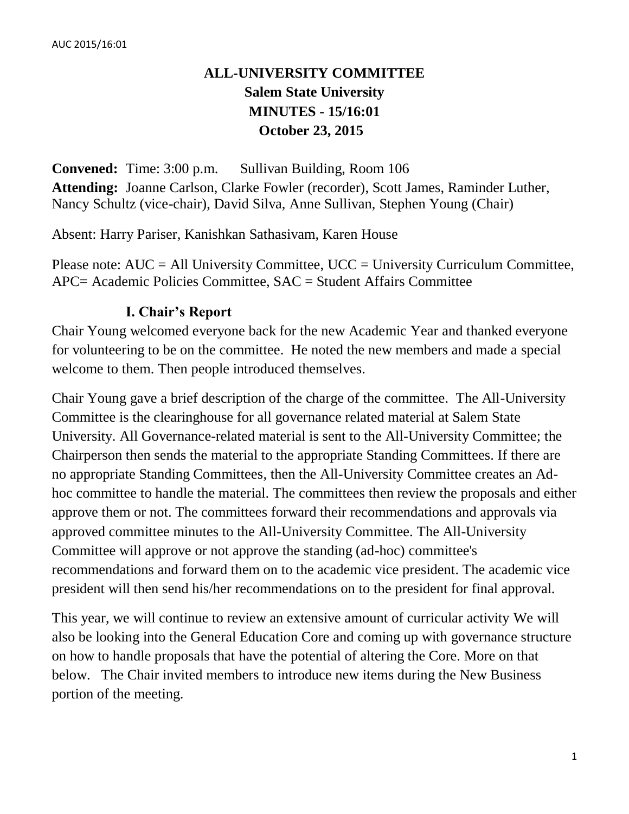# **ALL-UNIVERSITY COMMITTEE Salem State University MINUTES - 15/16:01 October 23, 2015**

**Convened:** Time: 3:00 p.m. Sullivan Building, Room 106 **Attending:** Joanne Carlson, Clarke Fowler (recorder), Scott James, Raminder Luther, Nancy Schultz (vice-chair), David Silva, Anne Sullivan, Stephen Young (Chair)

Absent: Harry Pariser, Kanishkan Sathasivam, Karen House

Please note: AUC = All University Committee, UCC = University Curriculum Committee, APC= Academic Policies Committee, SAC = Student Affairs Committee

# **I. Chair's Report**

Chair Young welcomed everyone back for the new Academic Year and thanked everyone for volunteering to be on the committee. He noted the new members and made a special welcome to them. Then people introduced themselves.

Chair Young gave a brief description of the charge of the committee. The All-University Committee is the clearinghouse for all governance related material at Salem State University. All Governance-related material is sent to the All-University Committee; the Chairperson then sends the material to the appropriate Standing Committees. If there are no appropriate Standing Committees, then the All-University Committee creates an Adhoc committee to handle the material. The committees then review the proposals and either approve them or not. The committees forward their recommendations and approvals via approved committee minutes to the All-University Committee. The All-University Committee will approve or not approve the standing (ad-hoc) committee's recommendations and forward them on to the academic vice president. The academic vice president will then send his/her recommendations on to the president for final approval.

This year, we will continue to review an extensive amount of curricular activity We will also be looking into the General Education Core and coming up with governance structure on how to handle proposals that have the potential of altering the Core. More on that below. The Chair invited members to introduce new items during the New Business portion of the meeting.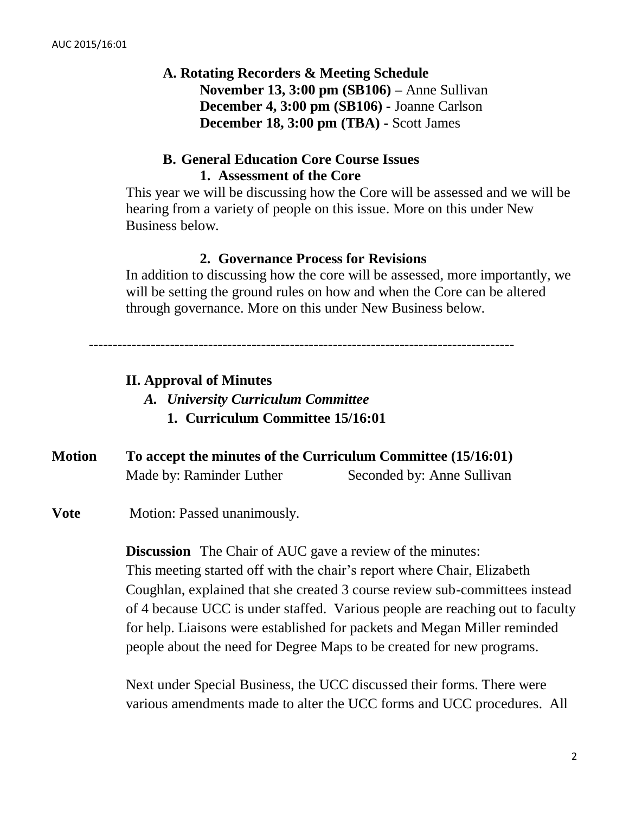# **A. Rotating Recorders & Meeting Schedule November 13, 3:00 pm (SB106) –** Anne Sullivan **December 4, 3:00 pm (SB106) -** Joanne Carlson **December 18, 3:00 pm (TBA) -** Scott James

# **B. General Education Core Course Issues 1. Assessment of the Core**

This year we will be discussing how the Core will be assessed and we will be hearing from a variety of people on this issue. More on this under New Business below.

### **2. Governance Process for Revisions**

In addition to discussing how the core will be assessed, more importantly, we will be setting the ground rules on how and when the Core can be altered through governance. More on this under New Business below.

-----------------------------------------------------------------------------------------

# **II. Approval of Minutes**

- *A. University Curriculum Committee*
	- **1. Curriculum Committee 15/16:01**
- **Motion To accept the minutes of the Curriculum Committee (15/16:01)** Made by: Raminder Luther Seconded by: Anne Sullivan
- **Vote** Motion: Passed unanimously.

**Discussion** The Chair of AUC gave a review of the minutes: This meeting started off with the chair's report where Chair, Elizabeth Coughlan, explained that she created 3 course review sub-committees instead of 4 because UCC is under staffed. Various people are reaching out to faculty for help. Liaisons were established for packets and Megan Miller reminded people about the need for Degree Maps to be created for new programs.

Next under Special Business, the UCC discussed their forms. There were various amendments made to alter the UCC forms and UCC procedures. All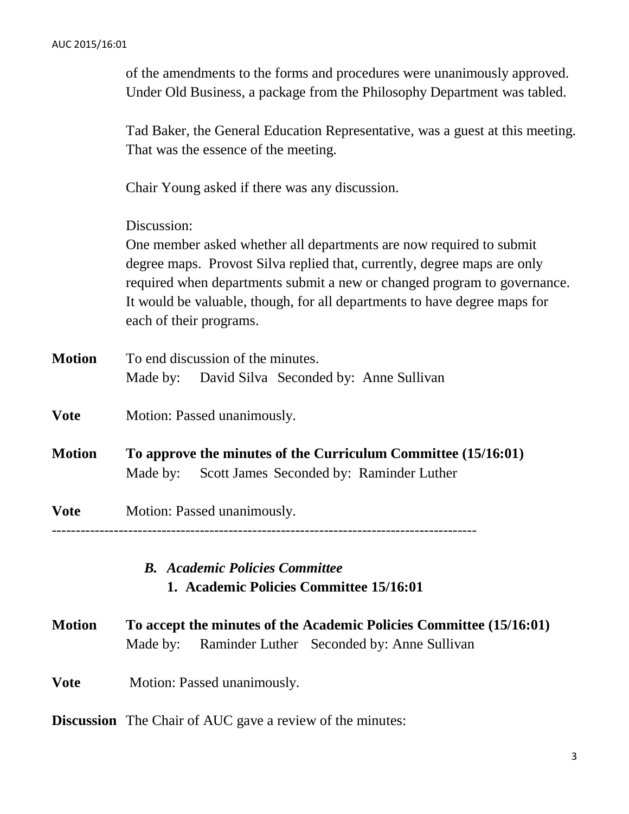|               | of the amendments to the forms and procedures were unanimously approved.<br>Under Old Business, a package from the Philosophy Department was tabled.                                                                                                                                                                                               |  |  |
|---------------|----------------------------------------------------------------------------------------------------------------------------------------------------------------------------------------------------------------------------------------------------------------------------------------------------------------------------------------------------|--|--|
|               | Tad Baker, the General Education Representative, was a guest at this meeting.<br>That was the essence of the meeting.<br>Chair Young asked if there was any discussion.                                                                                                                                                                            |  |  |
|               |                                                                                                                                                                                                                                                                                                                                                    |  |  |
|               | Discussion:<br>One member asked whether all departments are now required to submit<br>degree maps. Provost Silva replied that, currently, degree maps are only<br>required when departments submit a new or changed program to governance.<br>It would be valuable, though, for all departments to have degree maps for<br>each of their programs. |  |  |
| <b>Motion</b> | To end discussion of the minutes.<br>David Silva Seconded by: Anne Sullivan<br>Made by:                                                                                                                                                                                                                                                            |  |  |
| Vote          | Motion: Passed unanimously.                                                                                                                                                                                                                                                                                                                        |  |  |
| <b>Motion</b> | To approve the minutes of the Curriculum Committee (15/16:01)<br>Scott James Seconded by: Raminder Luther<br>Made by:                                                                                                                                                                                                                              |  |  |
| Vote          | Motion: Passed unanimously.                                                                                                                                                                                                                                                                                                                        |  |  |
|               | <b>B.</b> Academic Policies Committee<br>1. Academic Policies Committee 15/16:01                                                                                                                                                                                                                                                                   |  |  |
| Motion        | To accept the minutes of the Academic Policies Committee (15/16:01)<br>Raminder Luther Seconded by: Anne Sullivan<br>Made by:                                                                                                                                                                                                                      |  |  |
| Vote          | Motion: Passed unanimously.                                                                                                                                                                                                                                                                                                                        |  |  |

**Discussion** The Chair of AUC gave a review of the minutes: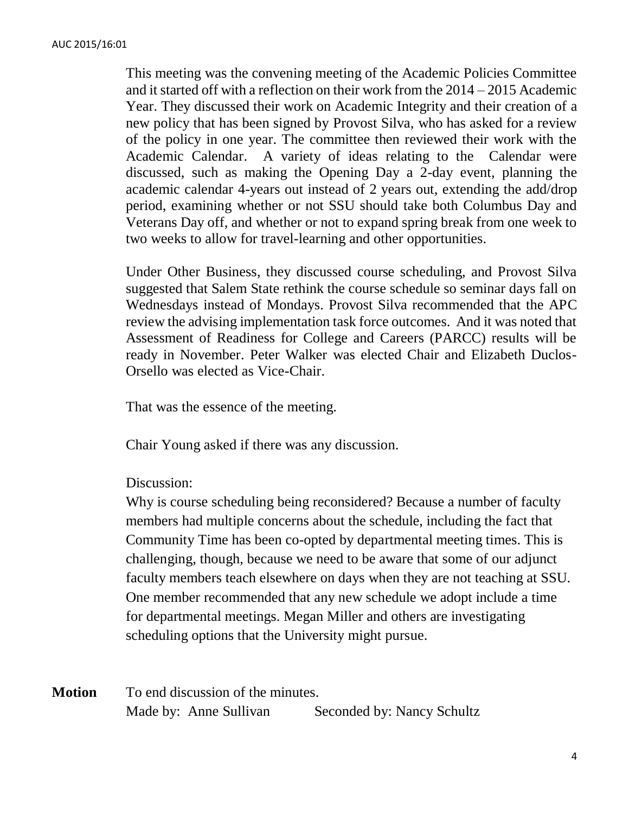This meeting was the convening meeting of the Academic Policies Committee and it started off with a reflection on their work from the 2014 – 2015 Academic Year. They discussed their work on Academic Integrity and their creation of a new policy that has been signed by Provost Silva, who has asked for a review of the policy in one year. The committee then reviewed their work with the Academic Calendar. A variety of ideas relating to the Calendar were discussed, such as making the Opening Day a 2-day event, planning the academic calendar 4-years out instead of 2 years out, extending the add/drop period, examining whether or not SSU should take both Columbus Day and Veterans Day off, and whether or not to expand spring break from one week to two weeks to allow for travel-learning and other opportunities.

Under Other Business, they discussed course scheduling, and Provost Silva suggested that Salem State rethink the course schedule so seminar days fall on Wednesdays instead of Mondays. Provost Silva recommended that the APC review the advising implementation task force outcomes. And it was noted that Assessment of Readiness for College and Careers (PARCC) results will be ready in November. Peter Walker was elected Chair and Elizabeth Duclos-Orsello was elected as Vice-Chair.

That was the essence of the meeting.

Chair Young asked if there was any discussion.

Discussion:

Why is course scheduling being reconsidered? Because a number of faculty members had multiple concerns about the schedule, including the fact that Community Time has been co-opted by departmental meeting times. This is challenging, though, because we need to be aware that some of our adjunct faculty members teach elsewhere on days when they are not teaching at SSU. One member recommended that any new schedule we adopt include a time for departmental meetings. Megan Miller and others are investigating scheduling options that the University might pursue.

**Motion** To end discussion of the minutes. Made by: Anne Sullivan Seconded by: Nancy Schultz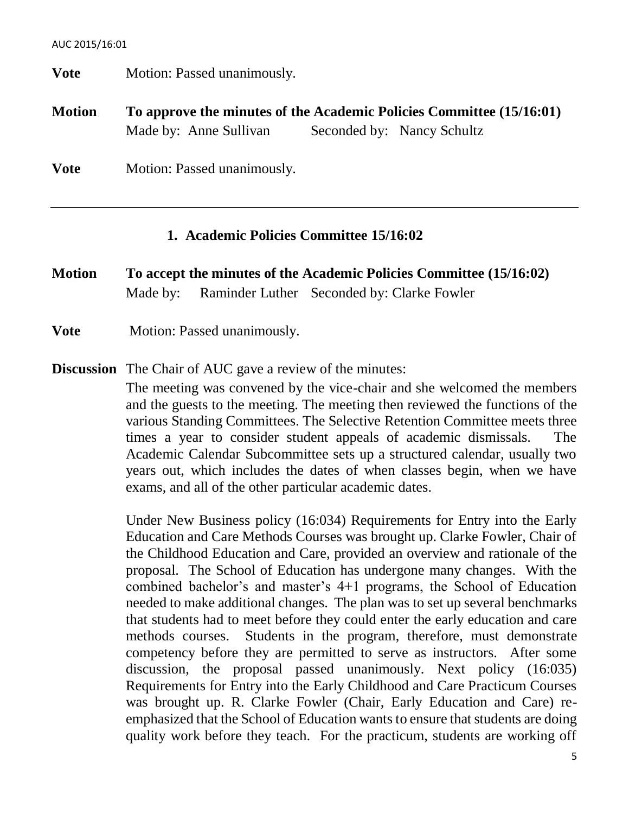**Vote** Motion: Passed unanimously. **Motion To approve the minutes of the Academic Policies Committee (15/16:01)**  Made by: Anne Sullivan Seconded by: Nancy Schultz **Vote** Motion: Passed unanimously.

#### **1. Academic Policies Committee 15/16:02**

**Motion To accept the minutes of the Academic Policies Committee (15/16:02)** Made by: Raminder Luther Seconded by: Clarke Fowler

**Vote** Motion: Passed unanimously.

**Discussion** The Chair of AUC gave a review of the minutes:

The meeting was convened by the vice-chair and she welcomed the members and the guests to the meeting. The meeting then reviewed the functions of the various Standing Committees. The Selective Retention Committee meets three times a year to consider student appeals of academic dismissals. The Academic Calendar Subcommittee sets up a structured calendar, usually two years out, which includes the dates of when classes begin, when we have exams, and all of the other particular academic dates.

Under New Business policy (16:034) Requirements for Entry into the Early Education and Care Methods Courses was brought up. Clarke Fowler, Chair of the Childhood Education and Care, provided an overview and rationale of the proposal. The School of Education has undergone many changes. With the combined bachelor's and master's 4+1 programs, the School of Education needed to make additional changes. The plan was to set up several benchmarks that students had to meet before they could enter the early education and care methods courses. Students in the program, therefore, must demonstrate competency before they are permitted to serve as instructors. After some discussion, the proposal passed unanimously. Next policy (16:035) Requirements for Entry into the Early Childhood and Care Practicum Courses was brought up. R. Clarke Fowler (Chair, Early Education and Care) reemphasized that the School of Education wants to ensure that students are doing quality work before they teach. For the practicum, students are working off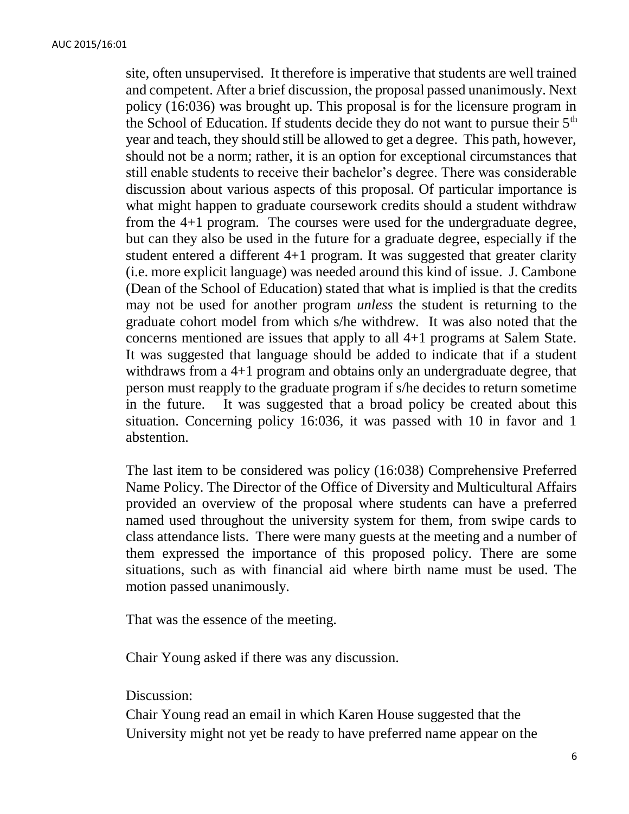site, often unsupervised. It therefore is imperative that students are well trained and competent. After a brief discussion, the proposal passed unanimously. Next policy (16:036) was brought up. This proposal is for the licensure program in the School of Education. If students decide they do not want to pursue their  $5<sup>th</sup>$ year and teach, they should still be allowed to get a degree. This path, however, should not be a norm; rather, it is an option for exceptional circumstances that still enable students to receive their bachelor's degree. There was considerable discussion about various aspects of this proposal. Of particular importance is what might happen to graduate coursework credits should a student withdraw from the 4+1 program. The courses were used for the undergraduate degree, but can they also be used in the future for a graduate degree, especially if the student entered a different 4+1 program. It was suggested that greater clarity (i.e. more explicit language) was needed around this kind of issue. J. Cambone (Dean of the School of Education) stated that what is implied is that the credits may not be used for another program *unless* the student is returning to the graduate cohort model from which s/he withdrew. It was also noted that the concerns mentioned are issues that apply to all 4+1 programs at Salem State. It was suggested that language should be added to indicate that if a student withdraws from a 4+1 program and obtains only an undergraduate degree, that person must reapply to the graduate program if s/he decides to return sometime in the future. It was suggested that a broad policy be created about this situation. Concerning policy 16:036, it was passed with 10 in favor and 1 abstention.

The last item to be considered was policy (16:038) Comprehensive Preferred Name Policy. The Director of the Office of Diversity and Multicultural Affairs provided an overview of the proposal where students can have a preferred named used throughout the university system for them, from swipe cards to class attendance lists. There were many guests at the meeting and a number of them expressed the importance of this proposed policy. There are some situations, such as with financial aid where birth name must be used. The motion passed unanimously.

That was the essence of the meeting.

Chair Young asked if there was any discussion.

Discussion:

Chair Young read an email in which Karen House suggested that the University might not yet be ready to have preferred name appear on the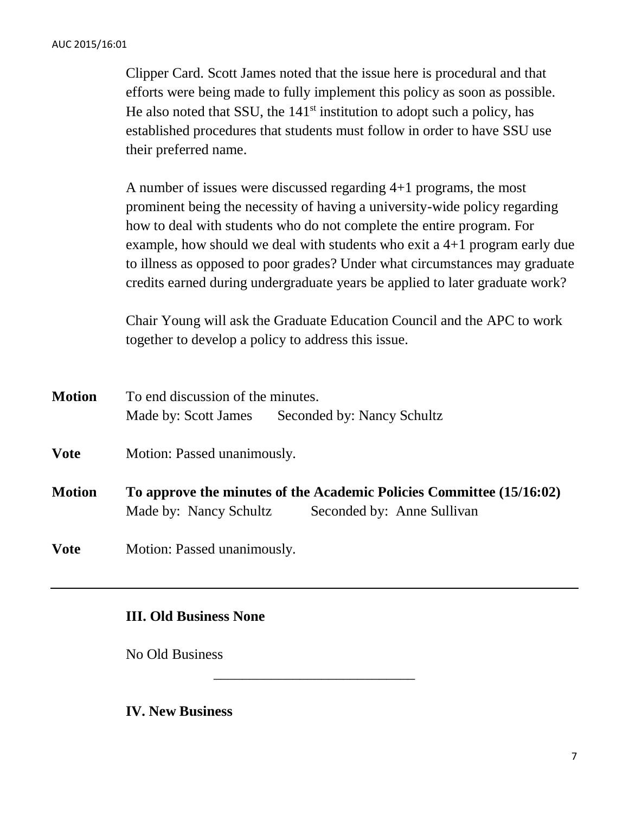Clipper Card. Scott James noted that the issue here is procedural and that efforts were being made to fully implement this policy as soon as possible. He also noted that SSU, the  $141<sup>st</sup>$  institution to adopt such a policy, has established procedures that students must follow in order to have SSU use their preferred name.

A number of issues were discussed regarding 4+1 programs, the most prominent being the necessity of having a university-wide policy regarding how to deal with students who do not complete the entire program. For example, how should we deal with students who exit a 4+1 program early due to illness as opposed to poor grades? Under what circumstances may graduate credits earned during undergraduate years be applied to later graduate work?

Chair Young will ask the Graduate Education Council and the APC to work together to develop a policy to address this issue.

| <b>Motion</b> | To end discussion of the minutes.                                                                                            |                            |  |
|---------------|------------------------------------------------------------------------------------------------------------------------------|----------------------------|--|
|               | Made by: Scott James                                                                                                         | Seconded by: Nancy Schultz |  |
| <b>Vote</b>   | Motion: Passed unanimously.                                                                                                  |                            |  |
| <b>Motion</b> | To approve the minutes of the Academic Policies Committee (15/16:02)<br>Made by: Nancy Schultz<br>Seconded by: Anne Sullivan |                            |  |
| <b>Vote</b>   | Motion: Passed unanimously.                                                                                                  |                            |  |

\_\_\_\_\_\_\_\_\_\_\_\_\_\_\_\_\_\_\_\_\_\_\_\_\_\_\_\_

### **III. Old Business None**

No Old Business

**IV. New Business**